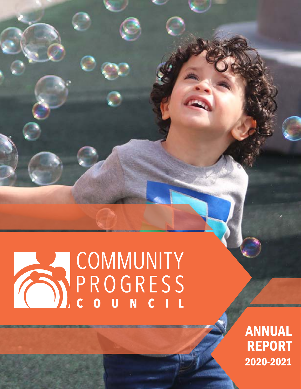# COMMUNITY

ANNUAL REPORT 2020-2021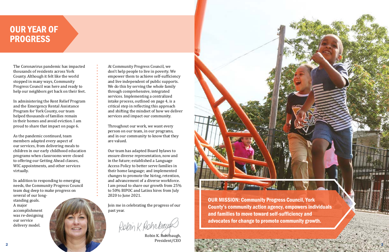OUR MISSION: Community Progress Council, York County's community action agency, empowers individuals and families to move toward self-sufficiency and advocates for change to promote community growth.

\*\*\*\*

# OUR YEAR OF PROGRESS

The Coronavirus pandemic has impacted thousands of residents across York County. Although it felt like the world stopped in many ways, Community Progress Council was here and ready to help our neighbors get back on their feet.

In administering the Rent Relief Program and the Emergency Rental Assistance Program for York County, our team helped thousands of families remain in their homes and avoid eviction. I am proud to share that impact on page 6.

As the pandemic continued, team members adapted every aspect of our services, from delivering meals to children in our early childhood education programs when classrooms were closed to offering our Getting Ahead classes, WIC appointments, and other services virtually.

In addition to responding to emerging needs, the Community Progress Council team dug deep to make progress on several of our longstanding goals. A major accomplishment was re-designing our service delivery model.

At Community Progress Council, we don't help people to live in poverty. We empower them to achieve self-sufficiency and live independent of public supports. We do this by serving the whole family through comprehensive, integrated services. Implementing a centralized intake process, outlined on page 4, is a critical step in reflecting this approach and shifting the mindset of how we deliver services and impact our community.

Throughout our work, we want every person on our team, in our programs, and in our community to know that they are valued.

Our team has adapted Board bylaws to ensure diverse representation, now and in the future; established a Language Access Policy to better serve families in their home language; and implemented changes to promote the hiring, retention, and advancement of a diverse workforce. I am proud to share our growth from 25% to 50% BIPOC and Latinx hires from July 2020 to June 2021.

Join me in celebrating the progress of our past year.

Robin K. Rohnbauf

Robin K. Rohrbaugh, President/CEO 2 3

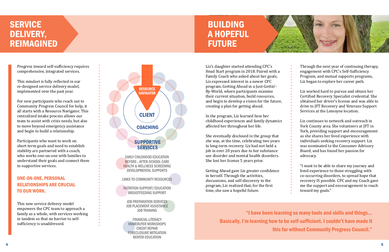"I have been learning so many tools and skills and things... Basically, I'm learning how to be self-sufficient. I couldn't have made it this far without Community Progress Council."



Progress toward self-sufficiency requires comprehensive, integrated services.

This mindset is fully reflected in our re-designed service delivery model, implemented over the past year.

# **SERVICE** DELIVERY, REIMAGINED

For new participants who reach out to Community Progress Council for help, it all starts with a Resource Navigator. This centralized intake process allows our team to assist with crisis needs, but also to move beyond emergency assistance and begin to build a relationship.

Participants who want to work on short-term goals and need to establish stability are partnered with a coach, who works one-on-one with families to understand their goals and connect them to supportive services.

# ONE-ON-ONE, PERSONAL RELATIONSHIPS ARE CRUCIAL TO OUR WORK.



This new service delivery model empowers the CPC team to approach a family as a whole, with services working in tandem so that no barrier to selfsufficiency is unaddressed.

Liz's daughter started attending CPC's Head Start program in 2018. Paired with a Family Coach who asked about her goals, Liz expressed interest in a newer CPC program, Getting Ahead in a Just-Gettin'- By-World, where participants examine their current situation, build resources, and begin to develop a vision for the future, creating a plan for getting ahead.

In the program, Liz learned how her childhood experiences and family dynamics affected her throughout her life.

She eventually disclosed in the group that she was, at the time, celebrating two years in long-term recovery. Liz had not held a job in over 20 years due to her substance use disorder and mental health disorders. She lost her license 5 years prior.

Getting Ahead gave Liz greater confidence in herself. Through the activities, discussions, and self-discovery in the program, Liz realized that, for the first time, she saw a hopeful future.

Through the next year of continuing therapy, engagement with CPC's Self-Sufficiency Program, and mutual supports programs, Liz began to explore her career path.

Liz worked hard to pursue and obtain her Certified Recovery Specialist credential. She obtained her driver's license and was able to drive to JFT Recovery and Veterans Support Services at the Lemoyne location.

Liz continues to network and outreach in York County area. She volunteers at JFT in York, providing support and encouragement as she shares her lived experience with individuals seeking recovery support. Liz was nominated to the Consumer Advisory Board, and has found her passion for advocacy.

"I want to be able to share my journey and lived experience to those struggling with co-occurring disorders, to spread hope that recovery IS possible. CPC and my Coach gave me the support and encouragement to reach toward my goals."

# BUILDING A HOPEFUL FUTURE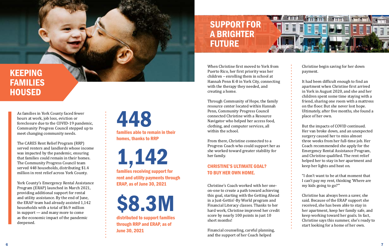# KEEPING FAMILIES HOUSED

As families in York County faced fewer hours at work, job loss, eviction or foreclosure due to the COVID-19 pandemic, Community Progress Council stepped up to meet changing community needs.

The CARES Rent Relief Program (RRP) served renters and landlords whose income was impacted by the pandemic, ensuring that families could remain in their homes. The Community Progress Council team served 448 households, distributing \$1.4 million in rent relief across York County.

York County's Emergency Rental Assistance Program (ERAP) launched in March 2021, providing additional support for rental and utility assistance. By the end of June, the ERAP team had already assisted 1,142 households with a total of \$6.9 million in support — and many more to come as the economic impact of the pandemic deepened.

families able to remain in their homes, thanks to RRP 448

families receiving support for 1,142

rent and utility payments through ERAP, as of June 30, 2021

distributed to support families through RRP and ERAP, as of June 30, 2021

\$8.3M

When Christine first moved to York from Puerto Rico, her first priority was her children – enrolling them in school at Hannah Penn K-8 in York City, connecting with the therapy they needed, and creating a home.

Through Community of Hope, the family resource center located within Hannah Penn, Community Progress Council connected Christine with a Resource Navigator who helped her access food, clothing, and computer services, all within the school.

From there, Christine connected to a Progress Coach who could support her as she worked toward greater stability for her family.

Christine's Coach worked with her oneon-one to create a path toward achieving this goal, starting with the Getting Ahead in a Just-Gettin'-By World program and Financial Literacy classes. Thanks to her hard work, Christine improved her credit score by nearly 100 points in just 10 short months!

Financial counseling, careful planning, and the support of her Coach helped

Christine begin saving for her down payment.

It had been difficult enough to find an apartment when Christine first arrived in York in August 2020, and she and her children spent some time staying with a friend, sharing one room with a mattress on the floor. But she never lost hope. Ultimately, after five months, she found a place of her own.

But the impacts of COVID continued. Her van broke down, and an unexpected surgery caused her to miss almost three weeks from her full-time job. Her Coach recommended she apply for the Emergency Rental Assistance Program, and Christine qualified. The rent relief helped her to stay in her apartment and keep her lights and heat on.

"I don't want to be at that moment that I can't pay my rent, thinking 'Where are my kids going to go?'"

Christine has always been a saver, she said. Because of the ERAP support she received, she has been able to stay in her apartment, keep her family safe, and keep working toward her goals. In fact, Christine says this summer, she's ready to start looking for a home of her own.

# SUPPORT FOR A BRIGHTER FUTURE

# CHRISTINE'S ULTIMATE GOAL? TO BUY HER OWN HOME.

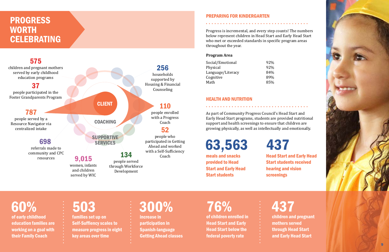# PREPARING FOR KINDERGARTEN

Progress is incremental, and every step counts! The numbers below represent children in Head Start and Early Head Start who met or exceeded standards in specific program areas throughout the year.

# of early childhood education families are working on a goal with 60%

# **PROGRESS WORTH CELEBRATING**



their Family Coach

families set up on Self-Suffiency scales to measure progress in eight key areas over time

# 503

increase in participation in Spanish-language Getting Ahead classes

# 300%

meals and snacks 63,563

provided to Head Start and Early Head Start students

# Head Start and Early Head Start students received hearing and vision screenings



437

### **Program Area**

| Social/Emotional  | 92% |
|-------------------|-----|
| Physical          | 92% |
| Language/Literacy | 84% |
| Cognitive         | 89% |
| Math              | 85% |

# HEALTH AND NUTRITION

As part of Community Progress Council's Head Start and Early Head Start programs, students are provided nutritional support and health screenings to ensure that children are growing physically, as well as intellectually and emotionally.

of children enrolled in Head Start and Early Head Start below the federal poverty rate

# 76%

children and pregnant mothers served through Head Start and Early Head Start

437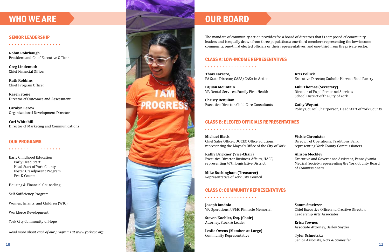### SENIOR LEADERSHIP

**Robin Rohrbaugh** President and Chief Executive Officer

. . . . . . . . . . . . . . . . . .

**Greg Lindemuth** Chief Financial Officer

**Ruth Robbins** Chief Program Officer

**Karen Stone** Director of Outcomes and Assessment

**Carolyn Lerew** Organizational Development Director

**Carl Whitehill** Director of Marketing and Communications

### OUR PROGRAMS

. . . . . . . . . . . . . . . .

Early Childhood Education Early Head Start Head Start of York County Foster Grandparent Program Pre-K Counts

Housing & Financial Counseling

Self-Sufficiency Program

Women, Infants, and Children (WIC)

Workforce Development

York City Community of Hope

*Read more about each of our programs at www.yorkcpc.org.*

### CLASS A: LOW-INCOME REPRESENTATIVES

**Thais Carrero,** PA State Director, CASA/CASA in Action

. . . . . . . . . . . . . . . . . .

**LaJuan Mountain** VP, Dental Services, Family First Health

**Christy Renjilian** Executive Director, Child Care Consultants

The mandate of community action provides for a board of directors that is composed of community leaders and is equally drawn from three populations: one-third members representing the low-income community, one-third elected officials or their representatives, and one-third from the private sector.



### CLASS B: ELECTED OFFICIALS REPRESENTATIVES

**Kris Pollick** Executive Director, Catholic Harvest Food Pantry

**Lulu Thomas (Secretary)** Director of Pupil Personnel Services School District of the City of York

**Cathy Weyant** Policy Council Chairperson, Head Start of York County

**Michael Black** Chief Sales Officer, DOCEO Office Solutions, representing the Mayor's Office of the City of York

**Kathy Brickner (Vice-Chair)** Executive Director Business Affairs, HACC, representing 47th Legislative District

**Mike Buckingham (Treasurer)** Representative of York City Council

. . . . . . . . . . . . . . . . . .

**Vickie Chronister** Director of Operations, Traditions Bank, representing York County Commissioners

### **Allison Meckley**

Executive and Governance Assistant, Pennsylvania Medical Society, representing the York County Board of Commissioners

### CLASS C: COMMUNITY REPRESENTATIVES

**Joseph Iandolo** VP, Operations, UPMC Pinnacle Memorial

**Steven Koehler, Esq. (Chair)** Attorney, Stock & Leader

. . . . . . . . . . . . . . . . . .

**Leslie Owens (Member-at-Large)** Community Representative

**Samm Smeltzer** Chief Executive Office and Creative Director, Leadership Arts Associates

**Erica Townes** Associate Attorney, Barley Snyder

**Tyler Schnetzka** Senior Associate, Rotz & Stonesifer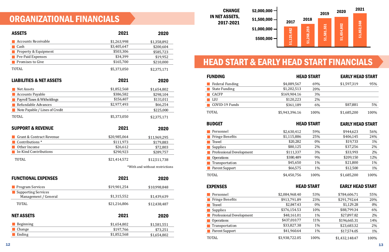# ORGANIZATIONAL FINANCIALS

TOTAL \$5,373,050

\*With and without restrictions

IN NET ASSETS, 2017-2021

| \$2,000,000 |
|-------------|
| \$1,500,000 |
| \$1,000,000 |
| \$500,000   |

| <b>CHANGE</b>             | \$2,000,000 |             |             | 2019        | 2020        | 2021        |  |
|---------------------------|-------------|-------------|-------------|-------------|-------------|-------------|--|
| <b>ASSETS,</b><br>17-2021 | \$1,500,000 | 2017        | 2018        |             |             |             |  |
|                           | \$1,000,000 |             |             | \$1,581,551 | \$1,654,802 | \$1,852,568 |  |
|                           | \$500,000   | \$1,125,482 | \$1,268,259 |             |             |             |  |
|                           |             |             |             |             |             |             |  |

| <b>SUPPORT &amp; REVENUE</b> | 2021         | 2020         |
|------------------------------|--------------|--------------|
| Grant & Contract Revenue     | \$20,985,064 | \$11,969,295 |
| Contributions <sup>*</sup>   | \$111,973    | \$179,883    |
| Other Income                 | \$26,612     | \$72,803     |
| In-Kind Contributions        | \$290,923    | \$289,757    |
| <b>TOTAL</b>                 | \$21,414,572 | \$12,511,738 |

| <b>FUNCTIONAL EXPENSES</b>                         | 2021         | 2020         |
|----------------------------------------------------|--------------|--------------|
| <b>Program Services</b>                            | \$19,901,254 | \$10,998,848 |
| <b>Supporting Services</b><br>Management / General | \$1,315,552  | \$1,439,639  |
| <b>TOTAL</b>                                       | \$21,216,806 | \$12,438,487 |
| <b>NET ASSETS</b>                                  | 2021         | 2020         |
| Beginning                                          | \$1,654,802  | \$1,581,551  |
| Change                                             | \$197,766    | \$73,251     |
| Ending                                             | \$1,852,568  | \$1,654,802  |

| <b>ASSETS</b>                       | 2021        | 2020        |
|-------------------------------------|-------------|-------------|
| <b>Accounts Receivable</b>          | \$1,263,998 | \$1,358,892 |
| Cash                                | \$3,405,647 | \$200,604   |
| Property & Equipment                | \$503,306   | \$585,723   |
| <b>Pre-Paid Expenses</b>            | \$34,399    | \$19,952    |
| Promises to Give                    | \$165,700   | \$210,000   |
| <b>TOTAL</b>                        | \$5,373,050 | \$2,375,171 |
| <b>LIABILITIES &amp; NET ASSETS</b> | 2021        | 2020        |
| <b>Net Assets</b>                   | \$1,852,568 | \$1,654,802 |
| <b>Accounts Payable</b>             | \$386,582   | \$298,104   |
| Payroll Taxes & Witholdings         | \$156,407   | \$131,011   |
| Refundable Advances                 | \$2,977,493 | \$66,254    |
| Note Payable / Lines of Credit      |             | \$225,000   |

# HEAD START & EARLY HEAD START FINANCIALS

### 2,630,412 1,115,886 \$20,282 \$80,125 4,450,756 \$111,337 59% 25% 0% 2% 100% 3% \$944,623 \$406,145 \$19,733 \$37,256 \$1,685,200 \$33,993 56% 24% 1% 2% 100% 2% **EARLY HEAD START EARLY HEAD START**<br>
HEAD START EARLY HEAD START<br>
1313 20%<br>
139 6% \$87,881 5%<br>
146 100% \$1,685,200 100%<br>
HEAD START EARLY HEAD START<br>
12 59% \$944,623 56%<br>
282 0% \$106,145 24%<br>
125 2% \$406,145 24%<br>
125 2% \$4 \$380,489 \$45,650 \$66,575 9% 1% 1% \$209,150 \$21,800 \$12,500 12% 1% 1%

\$2,375,171

# EXPENSES

### FUNDING

# BUDGET

| Personnel                       |  |
|---------------------------------|--|
| <b>Fringe Benefits</b>          |  |
| <b>Travel</b>                   |  |
| <b>Supplies</b>                 |  |
| <b>Professional Development</b> |  |
| <b>Operations</b>               |  |
| <b>Transportation</b>           |  |
| <b>Parent Support</b>           |  |
|                                 |  |

### HEAD START

| <b>Federal Funding</b> | \$4,089,567    | 69%   | \$1,597,319 | 95%   |
|------------------------|----------------|-------|-------------|-------|
| <b>State Funding</b>   | \$1,202,513    | 20%   |             |       |
| CACFP                  | \$169,904.16   | 3%    |             |       |
| $\blacksquare$ LIU     | \$120,223      | $2\%$ |             |       |
| COVID-19 Funds         | \$361,189      | $6\%$ | \$87,881    | $5\%$ |
| <b>TOTAL</b>           | \$5,943,396.16 | 100%  | \$1,685,200 | 100%  |

# EARLY HEAD START

# HEAD START EARLY HEAD START

| Personnel                | \$2,084,968.40 | 53%   | \$784,606.71   | 55%   |
|--------------------------|----------------|-------|----------------|-------|
| <b>Fringe Benefits</b>   | \$913,791.89   | 23%   | \$291,792.64   | 20%   |
| Travel                   | \$2,847.43     | $0\%$ | \$1,129.28     | $0\%$ |
| <b>Supplies</b>          | \$376,154.53   | 10%   | \$88,799.34    | 6%    |
| Professional Development | \$48,161.01    | $1\%$ | \$27,897.82    | 2%    |
| <b>Operations</b>        | \$437,010.77   | 11%   | \$196,665.31   | 14%   |
| Transportation           | \$33,827.38    | $1\%$ | \$23,683.32    | 2%    |
| Parent Support           | \$41,960.64    | $1\%$ | \$17,574.05    | $1\%$ |
| <b>TOTAL</b>             | \$3,938,722.05 | 100%  | \$1,432,148.47 | 100%  |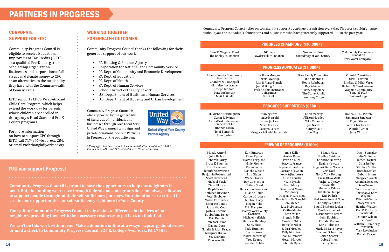# YOU can support Progress!

# WORKING TOGETHER FOR GREATER OUTCOMES

# **CORPORATE** SUPPORT FOR EITC

Community Progress Council thanks the following for their generous support of our work:

- PA Housing & Finance Agency
- Corporation for National and Community Service
- PA Dept. of Community and Economic Development
- PA Dept. of Education
- PA Dept. of Health
- PA Dept. of Human Services
- School District of the City of York
- U.S. Department of Health and Human Services
- U.S. Department of Housing and Urban Development

Community Progress Council is eligible to receive Educational Improvement Tax Credits (EITC), as a qualified Pre-Kindergarten Scholarship Organization. Businesses and corporations of all sizes can delegate money to CPC as an alternative to the tax liability they have with the Commonwealth of Pennsylvania.

EITC supports CPC's Wrap-Around Child Care Program, which helps extend the work day for parents whose children are enrolled in the agency's Head Start and Pre-K Counts programs.

For more information on how to support CPC through EITC, call 717-846-4600, ext. 284, or email rrohrbaugh@yorkcpc.org.

# PARTNERS IN PROGRESS

**Community Progress Council is proud to have the opportunity to help our neighbors in need. But, the funding we receive through federal and state grants does not always allow us to support people throughout their self-sufficiency journeys. Your donations are critical to create more opportunities for self-sufficiency right here in York County.**

H. Mi Susan P. Byrnes  $12th$ Democratic Club Rhonda Dixon Terri Edmonds

**Your gift to Community Progress Council truly makes a difference in the lives of our neighbors, providing them with the necessary resources to get back on their feet.** 

**We can't do this work without you. Make a donation online at www.yorkcpc.org/donate-now, or mail a check to Community Progress Council, 226 E. College Ave., York, PA 17403.**

Community Progress Council is also supported by the generosity of hundreds of individuals and businesses through Give Local York, United Way's annual campaign, and private donations. See our Partners in Progress on the opposite page.



**United Way of York County Partner Agency** 

### PROGRESS CHAMPIONS (\$10,000+)

### PROGRESS ADVOCATES (\$1,000+)

Adams County Community Foundation Chandra & Lou Appell Glatfelter Insurance Joseph Iandolo Matt Luchansky Matt Luttrell

William Morgan Harold Myers Jr. Rita & Roger Naugle Joni & Doug Norton Philadelphia Insurance Companies Bob Pullo

Rice Family Foundation Ruth Robbins Robin Rohrbaugh Ray Schievert Mary Singletary The Stone Family Anthony Trago

Chantel Tremitiere UPMC For You Lindsay & Mihai Veres Richard & Carol Wagman Wagman Community Fund of YCCF Nan Workinger

### PROGRESS SUPPORTERS (\$500+)

| ichael Buckingham<br>Susan P. Byrnes<br>Ward Independent<br>Jemocratic Club |  |
|-----------------------------------------------------------------------------|--|
| Rhonda Dixon<br>Terri Edmonds<br>John Eyster                                |  |

Stanley Ford Janice Herrold Joshua Jackson Steve Koehler Carolyn Lerew Gregory & Ruth Lindemuth

Chris Markey Allison Meckley Mike Miranda Joe Nardo Henry Nixon Noel Pagan

14 15 Karl Emerson Fiona Eyster Marvin Ferguson Millie Fischer Robin Fuller Danelle Gibson Lisa Glezer Wade Glosser Roy Gochenour Nathan Good Debra Goodling-Kime Luanne Gould Caribe's Grocery Michael Hady Megan Hake Erin Hampton Healthy York County Coalition Michael Helfrich Matthew Hershey Carly Hess Todd Hummel Gertha Jones Jessica Kaminsky Troy Kearse Jennifer Kohler

Ronda & Phil Pinton Samantha Smeltzer Roger Stoner Sweet Charities Inc. Wanda Turner Jerry Watson

### FRIENDS OF PROGRESS (\$100+)

Mandy Arnold John Bailey Deborah Bailey Bruce K Bauman Eric Beaverson Jennifer Beaverson Benjamin Roberts Ltd. Scott Birckhead Michael Black Tiena Blouse Ralph Brandt Kathleen Brickner Peter Brubaker Vickie Chronister Mauricio Conde Samantha Cook Joshua Crimmel Bobbi Anne Deleo Eric Dennis Michael Dixon Davina Dorn Natalie & Ryan Dragan Marquita Driskell Sue DuMars Calogero Elia

Jamie Koller Amber Kuhn Patricia Kurz Stacy LaFrance Stephanie Landsman Lorraine Lawson Kelly & Jim Leese Alison Loucks Kevin Lynch Brett Marcy Suzanne & Vance McConkey Douglas McCracken Ben & Erin McGlaughlin Tom McKee Lisa McPherson Caitlin Mento Glenn Miller Brenda Miller Caroline Miller Danielle Miller Jadira Morales Kelly Morrison Joan Mummert Megan Murden Deborah Myers

Blanda Nace Bradley Neiderer Christine Nentwig Regina Newton Angela & Reijo Nikkanen Carl Noel North York Borough Luisa Olivo-Wolf Rachel & Chewy Ostrander Shannon Palmer Kathleen Phillips Kris Pollick Yorktown Pools & Spas Christy Renjilian Paul & Marlene Rickert Cynthia Rinehart Lissuannette Rivera John Robbins Christie Robins Chris Robinson Mark & Maria Royce Shannon Schwantes Caitlin Shaffer Debra Simon Penny Sims

Dawn Spangler Julie St Pierre James Startzel Gina Steffee Stephen Stetler Brenda Stetler Debora Stram Margaret Swartz Amanda Sweeney Sean Turner Christine Valentin Christian & Carol Wagman Elizabeth Waite Mary Wallace Heather Watson Carl & Kimberly Whitehill Jennifer Wilson Jack Wolf William & Kimberly Yanavitch York Revolution Ronald Zeager

*\* Every effort has been made to include contributions as of Aug. 31, 2021. Contact Sue DuMars at 717-846-4600, ext. 295 with concerns.*

Carol D. Wagman Fund The Donley Foundation

PNC Bank Powder Mill Foundation

Santander Bank United Way of York County York County Community Foundation York Water Company

Community Progress Council relies on community support to continue our mission every day. This work couldn't happen without you, the individuals, foundations and businesses who have generously supported CPC in the past year.